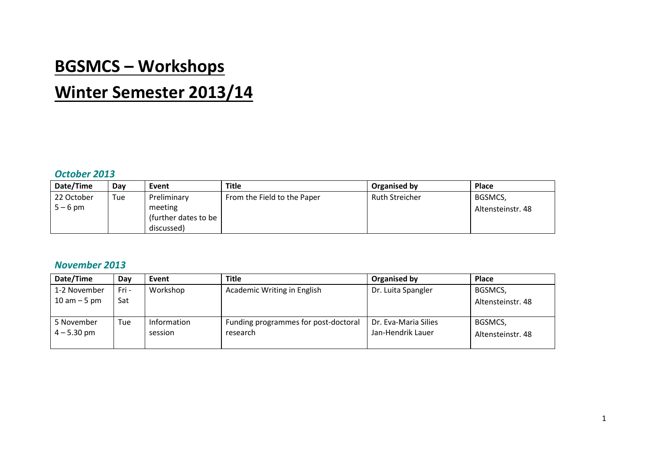## **BGSMCS – Workshops**

# **Winter Semester 2013/14**

#### *October 2013*

| Date/Time  | Day | Event                  | <b>Title</b>                | Organised by          | Place             |
|------------|-----|------------------------|-----------------------------|-----------------------|-------------------|
| 22 October | Tue | Preliminary            | From the Field to the Paper | <b>Ruth Streicher</b> | BGSMCS,           |
| $5 - 6$ pm |     | meeting                |                             |                       | Altensteinstr. 48 |
|            |     | (further dates to be I |                             |                       |                   |
|            |     | discussed)             |                             |                       |                   |

#### *November 2013*

| Date/Time       | Day   | Event       | <b>Title</b>                         | Organised by         | <b>Place</b>      |
|-----------------|-------|-------------|--------------------------------------|----------------------|-------------------|
| 1-2 November    | Fri - | Workshop    | Academic Writing in English          | Dr. Luita Spangler   | BGSMCS,           |
| $10$ am $-5$ pm | Sat   |             |                                      |                      | Altensteinstr. 48 |
|                 |       |             |                                      |                      |                   |
| 5 November      | Tue   | Information | Funding programmes for post-doctoral | Dr. Eva-Maria Silies | BGSMCS,           |
| $4 - 5.30$ pm   |       | session     | research                             | Jan-Hendrik Lauer    | Altensteinstr. 48 |
|                 |       |             |                                      |                      |                   |